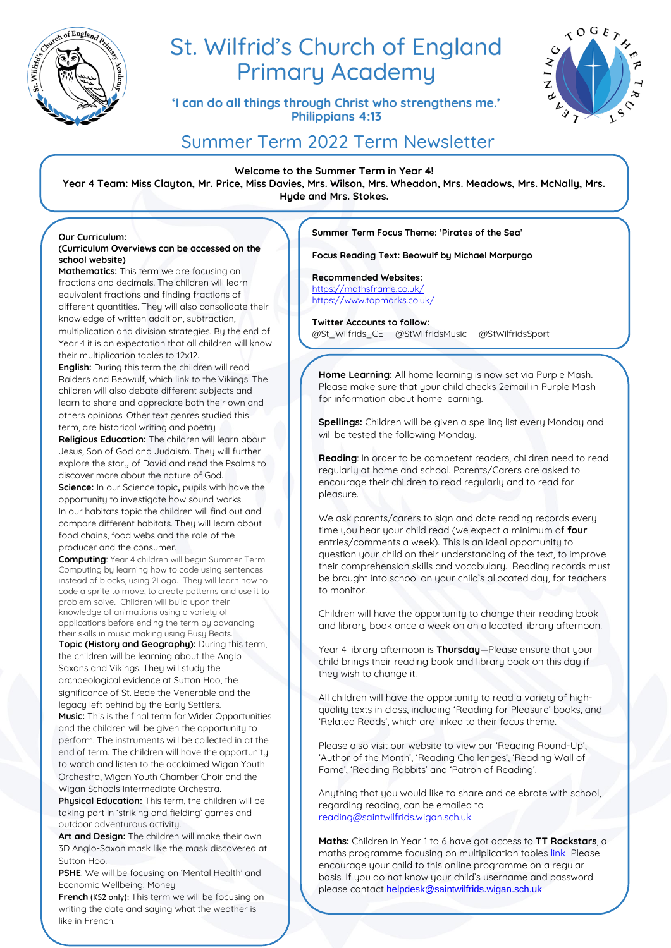

# St. Wilfrid's Church of England **Primary Academy**

'I can do all things through Christ who strengthens me.' **Philippians 4:13** 



# Summer Term 2022 Term Newsletter

## **Welcome to the Summer Term in Year 4!**

**Year 4 Team: Miss Clayton, Mr. Price, Miss Davies, Mrs. Wilson, Mrs. Wheadon, Mrs. Meadows, Mrs. McNally, Mrs. Hyde and Mrs. Stokes.**

#### **Our Curriculum: (Curriculum Overviews can be accessed on the school website)**

**Mathematics:** This term we are focusing on fractions and decimals. The children will learn equivalent fractions and finding fractions of different quantities. They will also consolidate their knowledge of written addition, subtraction, multiplication and division strategies. By the end of Year 4 it is an expectation that all children will know their multiplication tables to 12x12.

**English:** During this term the children will read Raiders and Beowulf, which link to the Vikings. The children will also debate different subjects and learn to share and appreciate both their own and others opinions. Other text genres studied this term, are historical writing and poetry

**Religious Education:** The children will learn about Jesus, Son of God and Judaism. They will further explore the story of David and read the Psalms to discover more about the nature of God. **Science:** In our Science topic**,** pupils with have the opportunity to investigate how sound works. In our habitats topic the children will find out and compare different habitats. They will learn about food chains, food webs and the role of the producer and the consumer.

**Computing**: Year 4 children will begin Summer Term Computing by learning how to code using sentences instead of blocks, using 2Logo. They will learn how to code a sprite to move, to create patterns and use it to problem solve. Children will build upon their knowledge of animations using a variety of applications before ending the term by advancing their skills in music making using Busy Beats.

**Topic (History and Geography):** During this term, the children will be learning about the Anglo Saxons and Vikings. They will study the archaeological evidence at Sutton Hoo, the significance of St. Bede the Venerable and the legacy left behind by the Early Settlers. **Music:** This is the final term for Wider Opportunities and the children will be given the opportunity to perform. The instruments will be collected in at the end of term. The children will have the opportunity to watch and listen to the acclaimed Wigan Youth

Orchestra, Wigan Youth Chamber Choir and the Wigan Schools Intermediate Orchestra. **Physical Education:** This term, the children will be taking part in 'striking and fielding' games and

outdoor adventurous activity. **Art and Design:** The children will make their own 3D Anglo-Saxon mask like the mask discovered at Sutton Hoo.

**PSHE**: We will be focusing on 'Mental Health' and Economic Wellbeing: Money

**French** (KS2 only): This term we will be focusing on writing the date and saying what the weather is like in French.

**Summer Term Focus Theme: 'Pirates of the Sea'** 

**Focus Reading Text: Beowulf by Michael Morpurgo**

# **Recommended Websites:**

<https://mathsframe.co.uk/> <https://www.topmarks.co.uk/>

**Twitter Accounts to follow:**  @St\_Wilfrids\_CE @StWilfridsMusic @StWilfridsSport

**Home Learning:** All home learning is now set via Purple Mash. Please make sure that your child checks 2email in Purple Mash for information about home learning.

**Spellings:** Children will be given a spelling list every Monday and will be tested the following Monday.

**Reading**: In order to be competent readers, children need to read regularly at home and school. Parents/Carers are asked to encourage their children to read regularly and to read for pleasure.

We ask parents/carers to sign and date reading records every time you hear your child read (we expect a minimum of **four** entries/comments a week). This is an ideal opportunity to question your child on their understanding of the text, to improve their comprehension skills and vocabulary. Reading records must be brought into school on your child's allocated day, for teachers to monitor.

Children will have the opportunity to change their reading book and library book once a week on an allocated library afternoon.

Year 4 library afternoon is **Thursday**—Please ensure that your child brings their reading book and library book on this day if they wish to change it.

All children will have the opportunity to read a variety of highquality texts in class, including 'Reading for Pleasure' books, and 'Related Reads', which are linked to their focus theme.

Please also visit our website to view our 'Reading Round-Up', 'Author of the Month', 'Reading Challenges', 'Reading Wall of Fame', 'Reading Rabbits' and 'Patron of Reading'.

Anything that you would like to share and celebrate with school, regarding reading, can be emailed to [reading@saintwilfrids.wigan.sch.uk](mailto:reading@saintwilfrids.wigan.sch.uk)

**Maths:** Children in Year 1 to 6 have got access to **TT Rockstars**, a maths programme focusing on multiplication table[s link](https://play.ttrockstars.com/auth/school/student) Please encourage your child to this online programme on a regular basis. If you do not know your child's username and password please contact [helpdesk@saintwilfrids.wigan.sch.uk](mailto:helpdesk@saintwilfrids.wigan.sch.uk)